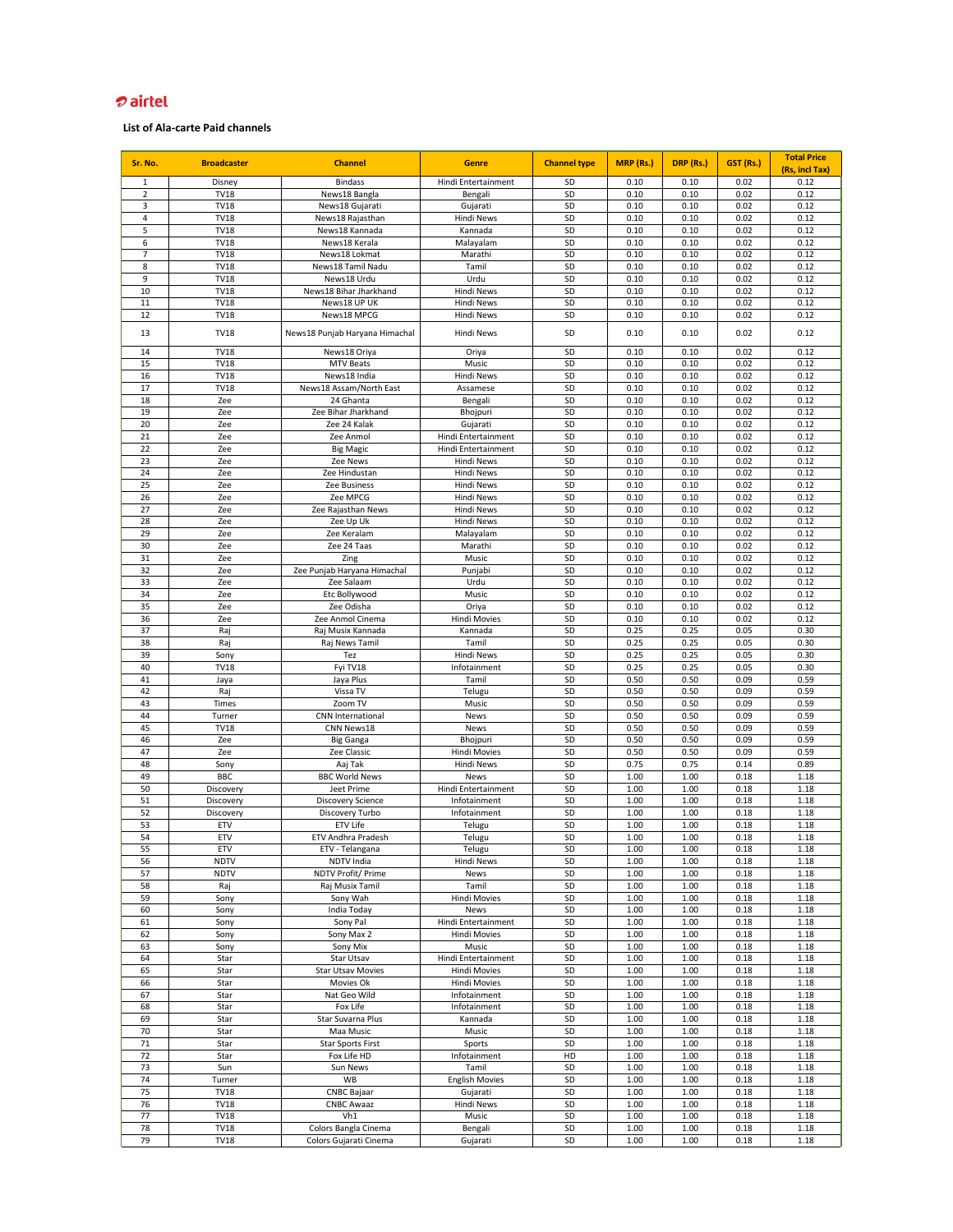| Sr. No.        | <b>Broadcaster</b>         | <b>Channel</b>                        | <b>Genre</b>                               | <b>Channel type</b> | <b>MRP</b> (Rs.) | DRP (Rs.)    | GST (Rs.)    | <b>Total Price</b><br>(Rs, incl Tax) |
|----------------|----------------------------|---------------------------------------|--------------------------------------------|---------------------|------------------|--------------|--------------|--------------------------------------|
| $\mathbf{1}$   | Disney                     | <b>Bindass</b>                        | Hindi Entertainment                        | SD                  | 0.10             | 0.10         | 0.02         | 0.12                                 |
| $\overline{2}$ | <b>TV18</b>                | News18 Bangla                         | Bengali                                    | SD                  | 0.10             | 0.10         | 0.02         | 0.12                                 |
| 3              | <b>TV18</b>                | News18 Gujarati                       | Gujarati                                   | SD                  | 0.10             | 0.10         | 0.02         | 0.12                                 |
| 4              | <b>TV18</b>                | News18 Rajasthan                      | Hindi News                                 | SD                  | 0.10             | 0.10         | 0.02         | 0.12                                 |
| 5              | <b>TV18</b>                | News18 Kannada                        | Kannada                                    | SD                  | 0.10             | 0.10         | 0.02         | 0.12                                 |
| 6              | <b>TV18</b>                | News18 Kerala                         | Malayalam                                  | SD                  | 0.10             | 0.10         | 0.02         | 0.12                                 |
| $\overline{7}$ | <b>TV18</b>                | News18 Lokmat                         | Marathi                                    | SD                  | 0.10             | 0.10         | 0.02         | 0.12                                 |
| 8              | <b>TV18</b>                | News18 Tamil Nadu                     | Tamil                                      | SD                  | 0.10             | 0.10         | 0.02         | 0.12                                 |
| 9              | <b>TV18</b>                | News18 Urdu                           | Urdu                                       | SD                  | 0.10             | 0.10         | 0.02         | 0.12                                 |
| 10             | <b>TV18</b>                | News18 Bihar Jharkhand                | <b>Hindi News</b>                          | SD                  | 0.10             | 0.10         | 0.02         | 0.12                                 |
| 11<br>12       | <b>TV18</b><br><b>TV18</b> | News18 UP UK<br>News18 MPCG           | <b>Hindi News</b><br>Hindi News            | SD<br>SD            | 0.10<br>0.10     | 0.10<br>0.10 | 0.02<br>0.02 | 0.12<br>0.12                         |
|                |                            |                                       |                                            |                     |                  |              |              |                                      |
| 13             | <b>TV18</b>                | News18 Punjab Haryana Himachal        | Hindi News                                 | SD                  | 0.10             | 0.10         | 0.02         | 0.12                                 |
| 14             | <b>TV18</b>                | News18 Oriya                          | Oriya                                      | SD                  | 0.10             | 0.10         | 0.02         | 0.12                                 |
| 15             | <b>TV18</b>                | <b>MTV Beats</b>                      | Music                                      | SD                  | 0.10             | 0.10         | 0.02         | 0.12                                 |
| 16             | <b>TV18</b>                | News18 India                          | <b>Hindi News</b>                          | SD                  | 0.10             | 0.10         | 0.02         | 0.12                                 |
| 17             | <b>TV18</b>                | News18 Assam/North East               | Assamese                                   | SD                  | 0.10             | 0.10         | 0.02         | 0.12                                 |
| 18             | Zee                        | 24 Ghanta                             | Bengali                                    | SD                  | 0.10             | 0.10         | 0.02         | 0.12                                 |
| 19             | Zee                        | Zee Bihar Jharkhand                   | Bhojpuri                                   | SD                  | 0.10             | 0.10         | 0.02         | 0.12                                 |
| 20             | Zee                        | Zee 24 Kalak                          | Gujarati                                   | SD                  | 0.10             | 0.10         | 0.02         | 0.12                                 |
| 21<br>22       | Zee<br>Zee                 | Zee Anmol                             | Hindi Entertainment<br>Hindi Entertainment | SD<br>SD            | 0.10<br>0.10     | 0.10<br>0.10 | 0.02<br>0.02 | 0.12<br>0.12                         |
| 23             | Zee                        | <b>Big Magic</b><br>Zee News          | <b>Hindi News</b>                          | SD                  | 0.10             | 0.10         | 0.02         | 0.12                                 |
| 24             | Zee                        | Zee Hindustan                         | <b>Hindi News</b>                          | SD                  | 0.10             | 0.10         | 0.02         | 0.12                                 |
| 25             | Zee                        | Zee Business                          | <b>Hindi News</b>                          | SD                  | 0.10             | 0.10         | 0.02         | 0.12                                 |
| 26             | Zee                        | Zee MPCG                              | <b>Hindi News</b>                          | SD                  | 0.10             | 0.10         | 0.02         | 0.12                                 |
| 27             | Zee                        | Zee Rajasthan News                    | <b>Hindi News</b>                          | SD                  | 0.10             | 0.10         | 0.02         | 0.12                                 |
| 28             | Zee                        | Zee Up Uk                             | <b>Hindi News</b>                          | SD                  | 0.10             | 0.10         | 0.02         | 0.12                                 |
| 29             | Zee                        | Zee Keralam                           | Malayalam                                  | SD                  | 0.10             | 0.10         | 0.02         | 0.12                                 |
| 30             | Zee                        | Zee 24 Taas                           | Marathi                                    | SD                  | 0.10             | 0.10         | 0.02         | 0.12                                 |
| 31             | Zee                        | Zing                                  | Music                                      | SD                  | 0.10             | 0.10         | 0.02         | 0.12                                 |
| 32             | Zee                        | Zee Punjab Haryana Himachal           | Punjabi                                    | SD                  | 0.10             | 0.10         | 0.02         | 0.12                                 |
| 33             | Zee                        | Zee Salaam                            | Urdu                                       | SD                  | 0.10             | 0.10         | 0.02         | 0.12                                 |
| 34             | Zee                        | Etc Bollywood                         | Music                                      | SD                  | 0.10             | 0.10         | 0.02         | 0.12                                 |
| 35<br>36       | Zee<br>Zee                 | Zee Odisha<br>Zee Anmol Cinema        | Oriya<br>Hindi Movies                      | SD<br>SD            | 0.10<br>0.10     | 0.10<br>0.10 | 0.02<br>0.02 | 0.12<br>0.12                         |
| 37             | Raj                        | Raj Musix Kannada                     | Kannada                                    | SD                  | 0.25             | 0.25         | 0.05         | 0.30                                 |
| 38             | Raj                        | Raj News Tamil                        | Tamil                                      | SD                  | 0.25             | 0.25         | 0.05         | 0.30                                 |
| 39             | Sony                       | Tez                                   | <b>Hindi News</b>                          | SD                  | 0.25             | 0.25         | 0.05         | 0.30                                 |
| 40             | <b>TV18</b>                | Fyi TV18                              | Infotainment                               | SD                  | 0.25             | 0.25         | 0.05         | 0.30                                 |
| 41             | Jaya                       | Jaya Plus                             | Tamil                                      | SD                  | 0.50             | 0.50         | 0.09         | 0.59                                 |
| 42             | Raj                        | Vissa TV                              | Telugu                                     | SD                  | 0.50             | 0.50         | 0.09         | 0.59                                 |
| 43             | Times                      | Zoom TV                               | Music                                      | SD                  | 0.50             | 0.50         | 0.09         | 0.59                                 |
| 44             | Turner                     | <b>CNN International</b>              | <b>News</b>                                | SD                  | 0.50             | 0.50         | 0.09         | 0.59                                 |
| 45             | <b>TV18</b>                | CNN News18                            | <b>News</b>                                | SD                  | 0.50             | 0.50         | 0.09         | 0.59                                 |
| 46<br>47       | Zee<br>Zee                 | <b>Big Ganga</b><br>Zee Classic       | Bhojpuri<br>Hindi Movies                   | SD<br>SD            | 0.50             | 0.50         | 0.09<br>0.09 | 0.59<br>0.59                         |
| 48             | Sony                       | Aaj Tak                               | <b>Hindi News</b>                          | SD                  | 0.50<br>0.75     | 0.50<br>0.75 | 0.14         | 0.89                                 |
| 49             | <b>BBC</b>                 | <b>BBC World News</b>                 | <b>News</b>                                | SD                  | 1.00             | 1.00         | 0.18         | 1.18                                 |
| 50             | Discovery                  | Jeet Prime                            | Hindi Entertainment                        | SD                  | 1.00             | 1.00         | 0.18         | 1.18                                 |
| 51             | Discovery                  | <b>Discovery Science</b>              | Infotainment                               | SD                  | 1.00             | 1.00         | 0.18         | 1.18                                 |
| 52             | Discovery                  | Discovery Turbo                       | Infotainment                               | SD                  | 1.00             | 1.00         | 0.18         | 1.18                                 |
| 53             | <b>ETV</b>                 | ETV Life                              | Telugu                                     | SD                  | 1.00             | 1.00         | 0.18         | 1.18                                 |
| 54             | <b>ETV</b>                 | <b>ETV Andhra Pradesh</b>             | Telugu                                     | SD                  | 1.00             | 1.00         | 0.18         | 1.18                                 |
| 55             | <b>ETV</b>                 | ETV - Telangana                       | Telugu                                     | SD                  | 1.00             | 1.00         | 0.18         | 1.18                                 |
| 56             | <b>NDTV</b>                | NDTV India                            | Hindi News                                 | SD                  | 1.00             | 1.00         | 0.18         | 1.18                                 |
| 57<br>58       | <b>NDTV</b><br>Raj         | NDTV Profit/ Prime<br>Raj Musix Tamil | <b>News</b><br>Tamil                       | SD<br>SD            | 1.00<br>1.00     | 1.00<br>1.00 | 0.18<br>0.18 | 1.18<br>1.18                         |
| 59             | Sony                       | Sony Wah                              | Hindi Movies                               | SD                  | 1.00             | 1.00         | 0.18         | 1.18                                 |
| 60             | Sony                       | India Today                           | <b>News</b>                                | SD                  | 1.00             | 1.00         | 0.18         | 1.18                                 |
| 61             | Sony                       | Sony Pal                              | Hindi Entertainment                        | SD                  | 1.00             | 1.00         | 0.18         | 1.18                                 |
| 62             | Sony                       | Sony Max 2                            | <b>Hindi Movies</b>                        | SD                  | 1.00             | 1.00         | 0.18         | 1.18                                 |
| 63             | Sony                       | Sony Mix                              | Music                                      | SD                  | 1.00             | 1.00         | 0.18         | 1.18                                 |
| 64             | Star                       | <b>Star Utsav</b>                     | Hindi Entertainment                        | SD                  | 1.00             | 1.00         | 0.18         | 1.18                                 |
| 65             | Star                       | <b>Star Utsav Movies</b>              | Hindi Movies                               | SD                  | 1.00             | 1.00         | 0.18         | 1.18                                 |
| 66             | Star                       | Movies Ok                             | Hindi Movies                               | SD                  | 1.00             | 1.00         | 0.18         | 1.18                                 |
| 67             | Star                       | Nat Geo Wild                          | Infotainment                               | SD                  | 1.00             | 1.00         | 0.18         | 1.18                                 |
| 68             | Star                       | Fox Life                              | Infotainment                               | SD                  | 1.00             | 1.00         | 0.18         | 1.18                                 |
| 69<br>70       | Star<br>Star               | Star Suvarna Plus<br>Maa Music        | Kannada<br>Music                           | SD<br>SD            | 1.00<br>1.00     | 1.00<br>1.00 | 0.18<br>0.18 | 1.18<br>1.18                         |
| 71             | Star                       | <b>Star Sports First</b>              | Sports                                     | SD                  | 1.00             | 1.00         | 0.18         | 1.18                                 |
| 72             | Star                       | Fox Life HD                           | Infotainment                               | HD                  | 1.00             | 1.00         | 0.18         | 1.18                                 |
| 73             | Sun                        | Sun News                              | Tamil                                      | SD                  | 1.00             | 1.00         | 0.18         | 1.18                                 |
| 74             | Turner                     | <b>WB</b>                             | <b>English Movies</b>                      | SD                  | 1.00             | 1.00         | 0.18         | 1.18                                 |
| 75             | <b>TV18</b>                | <b>CNBC Bajaar</b>                    | Gujarati                                   | SD                  | 1.00             | 1.00         | 0.18         | 1.18                                 |
| 76             | <b>TV18</b>                | <b>CNBC Awaaz</b>                     | <b>Hindi News</b>                          | SD                  | 1.00             | 1.00         | 0.18         | 1.18                                 |
| 77             | <b>TV18</b>                | Vh1                                   | Music                                      | SD                  | 1.00             | 1.00         | 0.18         | 1.18                                 |
| 78             | <b>TV18</b>                | Colors Bangla Cinema                  | Bengali                                    | SD                  | 1.00             | 1.00         | 0.18         | 1.18                                 |
| 79             | <b>TV18</b>                | Colors Gujarati Cinema                | Gujarati                                   | SD                  | 1.00             | 1.00         | 0.18         | 1.18                                 |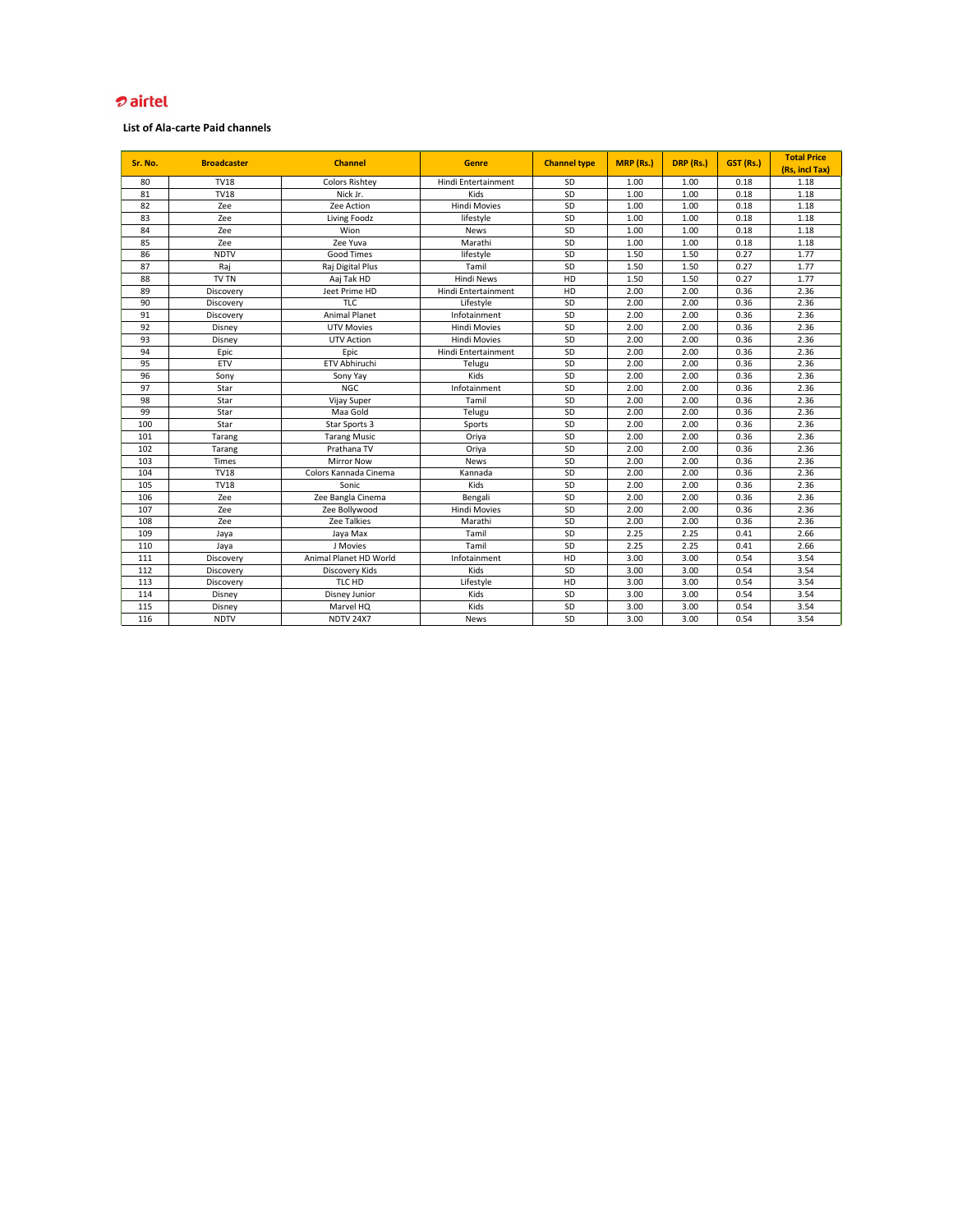| Sr. No. | <b>Broadcaster</b> | <b>Channel</b>         | <b>Genre</b>        | <b>Channel type</b> | <b>MRP (Rs.)</b> | DRP (Rs.) | <b>GST (Rs.)</b> | <b>Total Price</b><br>(Rs, incl Tax) |
|---------|--------------------|------------------------|---------------------|---------------------|------------------|-----------|------------------|--------------------------------------|
| 80      | <b>TV18</b>        | <b>Colors Rishtey</b>  | Hindi Entertainment | <b>SD</b>           | 1.00             | 1.00      | 0.18             | 1.18                                 |
| 81      | <b>TV18</b>        | Nick Jr.               | Kids                | SD                  | 1.00             | 1.00      | 0.18             | 1.18                                 |
| 82      | Zee                | Zee Action             | <b>Hindi Movies</b> | SD                  | 1.00             | 1.00      | 0.18             | 1.18                                 |
| 83      | Zee                | Living Foodz           | lifestyle           | SD                  | 1.00             | 1.00      | 0.18             | 1.18                                 |
| 84      | Zee                | Wion                   | <b>News</b>         | SD                  | 1.00             | 1.00      | 0.18             | 1.18                                 |
| 85      | Zee                | Zee Yuva               | Marathi             | SD                  | 1.00             | 1.00      | 0.18             | 1.18                                 |
| 86      | <b>NDTV</b>        | <b>Good Times</b>      | lifestyle           | SD                  | 1.50             | 1.50      | 0.27             | 1.77                                 |
| 87      | Raj                | Raj Digital Plus       | Tamil               | SD                  | 1.50             | 1.50      | 0.27             | 1.77                                 |
| 88      | TV TN              | Aaj Tak HD             | <b>Hindi News</b>   | HD                  | 1.50             | 1.50      | 0.27             | 1.77                                 |
| 89      | Discovery          | Jeet Prime HD          | Hindi Entertainment | HD                  | 2.00             | 2.00      | 0.36             | 2.36                                 |
| 90      | Discovery          | <b>TLC</b>             | Lifestyle           | SD                  | 2.00             | 2.00      | 0.36             | 2.36                                 |
| 91      | Discovery          | <b>Animal Planet</b>   | Infotainment        | SD                  | 2.00             | 2.00      | 0.36             | 2.36                                 |
| 92      | Disney             | <b>UTV Movies</b>      | <b>Hindi Movies</b> | SD                  | 2.00             | 2.00      | 0.36             | 2.36                                 |
| 93      | Disney             | <b>UTV Action</b>      | <b>Hindi Movies</b> | SD                  | 2.00             | 2.00      | 0.36             | 2.36                                 |
| 94      | Epic               | Epic                   | Hindi Entertainment | SD                  | 2.00             | 2.00      | 0.36             | 2.36                                 |
| 95      | <b>ETV</b>         | ETV Abhiruchi          | Telugu              | SD                  | 2.00             | 2.00      | 0.36             | 2.36                                 |
| 96      | Sony               | Sony Yay               | Kids                | SD                  | 2.00             | 2.00      | 0.36             | 2.36                                 |
| 97      | Star               | <b>NGC</b>             | Infotainment        | SD                  | 2.00             | 2.00      | 0.36             | 2.36                                 |
| 98      | Star               | Vijay Super            | Tamil               | SD                  | 2.00             | 2.00      | 0.36             | 2.36                                 |
| 99      | Star               | Maa Gold               | Telugu              | SD                  | 2.00             | 2.00      | 0.36             | 2.36                                 |
| 100     | Star               | Star Sports 3          | Sports              | SD                  | 2.00             | 2.00      | 0.36             | 2.36                                 |
| 101     | Tarang             | <b>Tarang Music</b>    | Oriya               | SD                  | 2.00             | 2.00      | 0.36             | 2.36                                 |
| 102     | Tarang             | Prathana TV            | Oriya               | SD                  | 2.00             | 2.00      | 0.36             | 2.36                                 |
| 103     | <b>Times</b>       | <b>Mirror Now</b>      | <b>News</b>         | SD                  | 2.00             | 2.00      | 0.36             | 2.36                                 |
| 104     | <b>TV18</b>        | Colors Kannada Cinema  | Kannada             | SD                  | 2.00             | 2.00      | 0.36             | 2.36                                 |
| 105     | <b>TV18</b>        | Sonic                  | Kids                | SD                  | 2.00             | 2.00      | 0.36             | 2.36                                 |
| 106     | Zee                | Zee Bangla Cinema      | Bengali             | SD                  | 2.00             | 2.00      | 0.36             | 2.36                                 |
| 107     | Zee                | Zee Bollywood          | <b>Hindi Movies</b> | SD                  | 2.00             | 2.00      | 0.36             | 2.36                                 |
| 108     | Zee                | Zee Talkies            | Marathi             | SD                  | 2.00             | 2.00      | 0.36             | 2.36                                 |
| 109     | Jaya               | Jaya Max               | Tamil               | $\sf SD$            | 2.25             | 2.25      | 0.41             | 2.66                                 |
| 110     | Jaya               | J Movies               | Tamil               | SD                  | 2.25             | 2.25      | 0.41             | 2.66                                 |
| 111     | Discovery          | Animal Planet HD World | Infotainment        | HD                  | 3.00             | 3.00      | 0.54             | 3.54                                 |
| 112     | Discovery          | Discovery Kids         | Kids                | SD                  | 3.00             | 3.00      | 0.54             | 3.54                                 |
| 113     | Discovery          | TLC HD                 | Lifestyle           | HD                  | 3.00             | 3.00      | 0.54             | 3.54                                 |
| 114     | Disney             | Disney Junior          | Kids                | SD                  | 3.00             | 3.00      | 0.54             | 3.54                                 |
| 115     | Disney             | Marvel HQ              | Kids                | SD                  | 3.00             | 3.00      | 0.54             | 3.54                                 |
| 116     | <b>NDTV</b>        | <b>NDTV 24X7</b>       | News                | SD                  | 3.00             | 3.00      | 0.54             | 3.54                                 |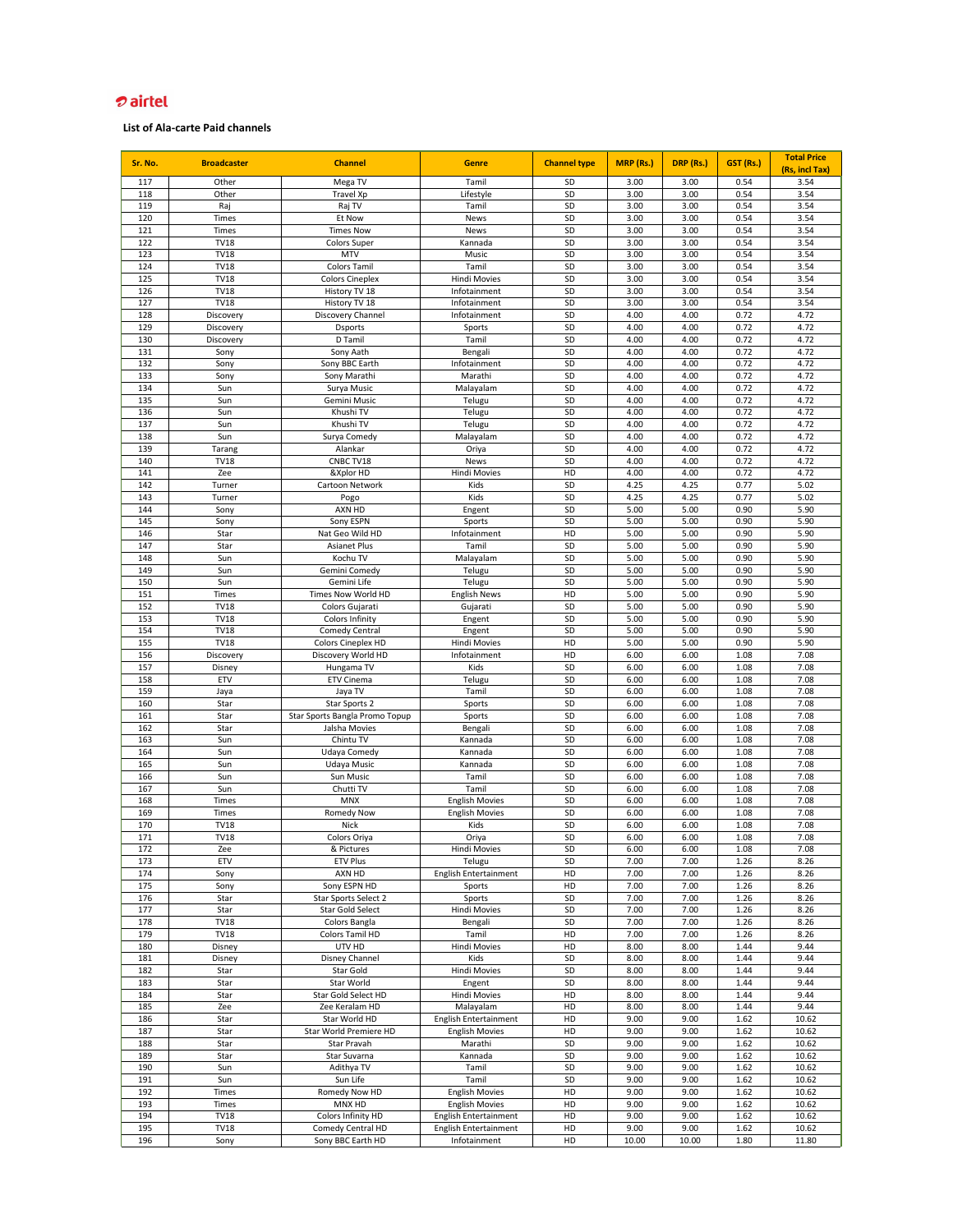| Sr. No.    | <b>Broadcaster</b>   | <b>Channel</b>                    | <b>Genre</b>                    | <b>Channel type</b> | <b>MRP (Rs.)</b> | DRP (Rs.)    | <b>GST (Rs.)</b> | <b>Total Price</b><br>(Rs, incl Tax) |
|------------|----------------------|-----------------------------------|---------------------------------|---------------------|------------------|--------------|------------------|--------------------------------------|
| 117        | Other                | Mega TV                           | Tamil                           | SD                  | 3.00             | 3.00         | 0.54             | 3.54                                 |
| 118        | Other                | Travel Xp                         | Lifestyle                       | SD                  | 3.00             | 3.00         | 0.54             | 3.54                                 |
| 119        | Raj                  | Raj TV                            | Tamil                           | SD                  | 3.00             | 3.00         | 0.54             | 3.54                                 |
| 120        | Times                | Et Now                            | <b>News</b>                     | SD                  | 3.00             | 3.00         | 0.54             | 3.54                                 |
| 121        | Times                | <b>Times Now</b>                  | <b>News</b>                     | SD                  | 3.00             | 3.00         | 0.54             | 3.54                                 |
| 122        | <b>TV18</b>          | <b>Colors Super</b>               | Kannada                         | SD                  | 3.00             | 3.00         | 0.54             | 3.54                                 |
| 123        | <b>TV18</b>          | <b>MTV</b>                        | Music                           | SD                  | 3.00             | 3.00         | 0.54             | 3.54                                 |
| 124        | <b>TV18</b>          | <b>Colors Tamil</b>               | Tamil                           | SD                  | 3.00             | 3.00         | 0.54             | 3.54                                 |
| 125        | <b>TV18</b>          | <b>Colors Cineplex</b>            | <b>Hindi Movies</b>             | SD                  | 3.00             | 3.00         | 0.54             | 3.54                                 |
| 126        | <b>TV18</b>          | History TV 18                     | Infotainment                    | SD                  | 3.00             | 3.00         | 0.54             | 3.54                                 |
| 127        | <b>TV18</b>          | History TV 18                     | Infotainment                    | SD                  | 3.00             | 3.00         | 0.54             | 3.54                                 |
| 128        | Discovery            | Discovery Channel                 | Infotainment                    | SD                  | 4.00             | 4.00         | 0.72             | 4.72                                 |
| 129<br>130 | Discovery            | <b>Dsports</b><br>D Tamil         | Sports<br>Tamil                 | SD<br>SD            | 4.00<br>4.00     | 4.00<br>4.00 | 0.72<br>0.72     | 4.72<br>4.72                         |
| 131        | Discovery<br>Sony    | Sony Aath                         | Bengali                         | SD                  | 4.00             | 4.00         | 0.72             | 4.72                                 |
| 132        | Sony                 | Sony BBC Earth                    | Infotainment                    | SD                  | 4.00             | 4.00         | 0.72             | 4.72                                 |
| 133        | Sony                 | Sony Marathi                      | Marathi                         | SD                  | 4.00             | 4.00         | 0.72             | 4.72                                 |
| 134        | Sun                  | Surya Music                       | Malayalam                       | SD                  | 4.00             | 4.00         | 0.72             | 4.72                                 |
| 135        | Sun                  | Gemini Music                      | Telugu                          | SD                  | 4.00             | 4.00         | 0.72             | 4.72                                 |
| 136        | Sun                  | Khushi TV                         | Telugu                          | SD                  | 4.00             | 4.00         | 0.72             | 4.72                                 |
| 137        | Sun                  | Khushi TV                         | Telugu                          | SD                  | 4.00             | 4.00         | 0.72             | 4.72                                 |
| 138        | Sun                  | Surya Comedy                      | Malayalam                       | SD                  | 4.00             | 4.00         | 0.72             | 4.72                                 |
| 139        | Tarang               | Alankar                           | Oriya                           | SD                  | 4.00             | 4.00         | 0.72             | 4.72                                 |
| 140        | <b>TV18</b>          | CNBC TV18                         | <b>News</b>                     | SD                  | 4.00             | 4.00         | 0.72             | 4.72                                 |
| 141        | Zee                  | &Xplor HD                         | Hindi Movies                    | HD                  | 4.00             | 4.00         | 0.72             | 4.72                                 |
| 142        | Turner               | Cartoon Network                   | Kids                            | SD                  | 4.25             | 4.25         | 0.77             | 5.02                                 |
| 143        | Turner               | Pogo                              | Kids                            | SD                  | 4.25             | 4.25         | 0.77             | 5.02                                 |
| 144        | Sony                 | AXN HD                            | Engent                          | SD                  | 5.00             | 5.00         | 0.90             | 5.90                                 |
| 145        | Sony                 | Sony ESPN                         | Sports                          | SD                  | 5.00             | 5.00         | 0.90             | 5.90                                 |
| 146        | Star                 | Nat Geo Wild HD                   | Infotainment                    | HD                  | 5.00             | 5.00         | 0.90             | 5.90                                 |
| 147        | Star                 | <b>Asianet Plus</b>               | Tamil                           | SD                  | 5.00             | 5.00         | 0.90             | 5.90                                 |
| 148        | Sun                  | Kochu TV                          | Malayalam                       | SD                  | 5.00             | 5.00         | 0.90             | 5.90                                 |
| 149        | Sun                  | Gemini Comedy                     | Telugu                          | SD                  | 5.00             | 5.00         | 0.90             | 5.90                                 |
| 150        | Sun                  | Gemini Life<br>Times Now World HD | Telugu                          | SD                  | 5.00             | 5.00         | 0.90             | 5.90                                 |
| 151<br>152 | Times<br><b>TV18</b> | Colors Gujarati                   | <b>English News</b><br>Gujarati | HD<br>SD            | 5.00<br>5.00     | 5.00<br>5.00 | 0.90<br>0.90     | 5.90<br>5.90                         |
| 153        | <b>TV18</b>          | Colors Infinity                   | Engent                          | SD                  | 5.00             | 5.00         | 0.90             | 5.90                                 |
| 154        | <b>TV18</b>          | Comedy Central                    | Engent                          | SD                  | 5.00             | 5.00         | 0.90             | 5.90                                 |
| 155        | <b>TV18</b>          | Colors Cineplex HD                | <b>Hindi Movies</b>             | HD                  | 5.00             | 5.00         | 0.90             | 5.90                                 |
| 156        | Discovery            | Discovery World HD                | Infotainment                    | HD                  | 6.00             | 6.00         | 1.08             | 7.08                                 |
| 157        | Disney               | Hungama TV                        | Kids                            | SD                  | 6.00             | 6.00         | 1.08             | 7.08                                 |
| 158        | <b>ETV</b>           | <b>ETV Cinema</b>                 | Telugu                          | SD                  | 6.00             | 6.00         | 1.08             | 7.08                                 |
| 159        | Jaya                 | Jaya TV                           | Tamil                           | SD                  | 6.00             | 6.00         | 1.08             | 7.08                                 |
| 160        | Star                 | Star Sports 2                     | Sports                          | SD                  | 6.00             | 6.00         | 1.08             | 7.08                                 |
| 161        | Star                 | Star Sports Bangla Promo Topup    | Sports                          | SD                  | 6.00             | 6.00         | 1.08             | 7.08                                 |
| 162        | Star                 | Jalsha Movies                     | Bengali                         | SD                  | 6.00             | 6.00         | 1.08             | 7.08                                 |
| 163        | Sun                  | Chintu TV                         | Kannada                         | SD                  | 6.00             | 6.00         | 1.08             | 7.08                                 |
| 164        | Sun                  | Udaya Comedy                      | Kannada                         | SD                  | 6.00             | 6.00         | 1.08             | 7.08                                 |
| 165        | Sun                  | Udaya Music                       | Kannada                         | SD                  | 6.00             | 6.00         | 1.08             | 7.08                                 |
| 166        | Sun                  | Sun Music                         | Tamil                           | SD                  | 6.00             | 6.00         | 1.08             | 7.08                                 |
| 167        | Sun                  | Chutti TV                         | Tamil                           | SD                  | 6.00             | 6.00         | 1.08             | 7.08                                 |
| 168<br>169 | Times                | <b>MNX</b>                        | <b>English Movies</b>           | SD<br>SD            | 6.00             | 6.00<br>6.00 | 1.08             | 7.08<br>7.08                         |
| 170        | Times<br><b>TV18</b> | <b>Romedy Now</b><br><b>Nick</b>  | <b>English Movies</b><br>Kids   | SD                  | 6.00<br>6.00     | 6.00         | 1.08<br>1.08     | 7.08                                 |
| 171        | <b>TV18</b>          | Colors Oriya                      | Oriya                           | SD                  | 6.00             | 6.00         | 1.08             | 7.08                                 |
| 172        | Zee                  | & Pictures                        | Hindi Movies                    | SD                  | 6.00             | 6.00         | 1.08             | 7.08                                 |
| 173        | <b>ETV</b>           | <b>ETV Plus</b>                   | Telugu                          | SD                  | 7.00             | 7.00         | 1.26             | 8.26                                 |
| 174        | Sony                 | AXN HD                            | <b>English Entertainment</b>    | HD                  | 7.00             | 7.00         | 1.26             | 8.26                                 |
| 175        | Sony                 | Sony ESPN HD                      | Sports                          | HD                  | 7.00             | 7.00         | 1.26             | 8.26                                 |
| 176        | Star                 | Star Sports Select 2              | Sports                          | SD                  | 7.00             | 7.00         | 1.26             | 8.26                                 |
| 177        | Star                 | Star Gold Select                  | Hindi Movies                    | SD                  | 7.00             | 7.00         | 1.26             | 8.26                                 |
| 178        | <b>TV18</b>          | Colors Bangla                     | Bengali                         | SD                  | 7.00             | 7.00         | 1.26             | 8.26                                 |
| 179        | <b>TV18</b>          | Colors Tamil HD                   | Tamil                           | HD                  | 7.00             | 7.00         | 1.26             | 8.26                                 |
| 180        | Disney               | UTV HD                            | Hindi Movies                    | HD                  | 8.00             | 8.00         | 1.44             | 9.44                                 |
| 181        | Disney               | Disney Channel                    | Kids                            | SD                  | 8.00             | 8.00         | 1.44             | 9.44                                 |
| 182        | Star                 | Star Gold                         | <b>Hindi Movies</b>             | SD                  | 8.00             | 8.00         | 1.44             | 9.44                                 |
| 183        | Star                 | Star World                        | Engent                          | SD                  | 8.00             | 8.00         | 1.44             | 9.44                                 |
| 184        | Star                 | Star Gold Select HD               | Hindi Movies                    | HD                  | 8.00             | 8.00         | 1.44             | 9.44                                 |
| 185        | Zee                  | Zee Keralam HD                    | Malayalam                       | HD                  | 8.00             | 8.00         | 1.44             | 9.44                                 |
| 186        | Star                 | Star World HD                     | <b>English Entertainment</b>    | HD                  | 9.00             | 9.00         | 1.62             | 10.62                                |
| 187        | Star                 | Star World Premiere HD            | <b>English Movies</b>           | HD                  | 9.00             | 9.00         | 1.62             | 10.62                                |
| 188        | Star                 | Star Pravah                       | Marathi<br>Kannada              | SD                  | 9.00             | 9.00         | 1.62             | 10.62                                |
| 189<br>190 | Star<br>Sun          | Star Suvarna<br>Adithya TV        | Tamil                           | SD<br>SD            | 9.00             | 9.00<br>9.00 | 1.62<br>1.62     | 10.62<br>10.62                       |
| 191        | Sun                  | Sun Life                          | Tamil                           | SD                  | 9.00<br>9.00     | 9.00         | 1.62             | 10.62                                |
| 192        | Times                | Romedy Now HD                     | <b>English Movies</b>           | HD                  | 9.00             | 9.00         | 1.62             | 10.62                                |
| 193        | Times                | MNX HD                            | <b>English Movies</b>           | HD                  | 9.00             | 9.00         | 1.62             | 10.62                                |
| 194        | <b>TV18</b>          | Colors Infinity HD                | English Entertainment           | HD                  | 9.00             | 9.00         | 1.62             | 10.62                                |
| 195        | <b>TV18</b>          | Comedy Central HD                 | <b>English Entertainment</b>    | HD                  | 9.00             | 9.00         | 1.62             | 10.62                                |
| 196        | Sony                 | Sony BBC Earth HD                 | Infotainment                    | HD                  | 10.00            | 10.00        | 1.80             | 11.80                                |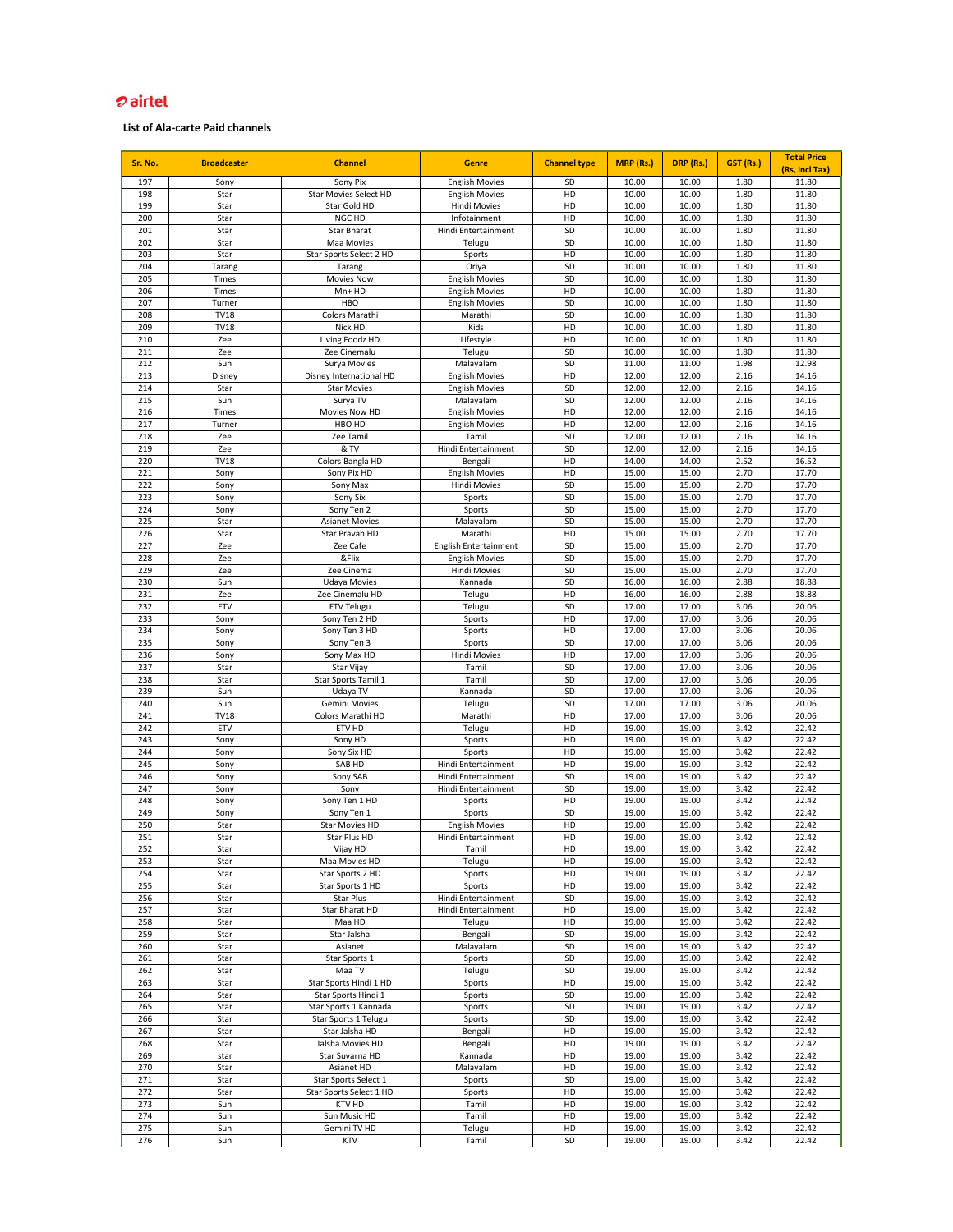| Sr. No.    | <b>Broadcaster</b>     | <b>Channel</b>                                | <b>Genre</b>                                   | <b>Channel type</b> | <b>MRP</b> (Rs.) | DRP (Rs.)      | <b>GST (Rs.)</b> | <b>Total Price</b><br>(Rs, incl Tax) |
|------------|------------------------|-----------------------------------------------|------------------------------------------------|---------------------|------------------|----------------|------------------|--------------------------------------|
| 197        | Sony                   | Sony Pix                                      | <b>English Movies</b>                          | <b>SD</b>           | 10.00            | 10.00          | 1.80             | 11.80                                |
| 198        | Star                   | <b>Star Movies Select HD</b>                  | <b>English Movies</b>                          | HD                  | 10.00            | 10.00          | 1.80             | 11.80                                |
| 199        | Star                   | Star Gold HD                                  | <b>Hindi Movies</b>                            | HD                  | 10.00            | 10.00          | 1.80             | 11.80                                |
| 200        | Star                   | NGC HD                                        | Infotainment                                   | HD                  | 10.00            | 10.00          | 1.80             | 11.80                                |
| 201        | Star                   | <b>Star Bharat</b>                            | Hindi Entertainment                            | SD                  | 10.00            | 10.00          | 1.80             | 11.80                                |
| 202        | Star                   | Maa Movies                                    | Telugu                                         | SD                  | 10.00            | 10.00          | 1.80             | 11.80                                |
| 203<br>204 | Star                   | Star Sports Select 2 HD                       | Sports                                         | HD<br>SD            | 10.00            | 10.00<br>10.00 | 1.80             | 11.80<br>11.80                       |
| 205        | Tarang<br><b>Times</b> | Tarang<br><b>Movies Now</b>                   | Oriya<br><b>English Movies</b>                 | SD                  | 10.00<br>10.00   | 10.00          | 1.80<br>1.80     | 11.80                                |
| 206        | Times                  | $Mn+HD$                                       | <b>English Movies</b>                          | HD                  | 10.00            | 10.00          | 1.80             | 11.80                                |
| 207        | Turner                 | <b>HBO</b>                                    | <b>English Movies</b>                          | SD                  | 10.00            | 10.00          | 1.80             | 11.80                                |
| 208        | <b>TV18</b>            | Colors Marathi                                | Marathi                                        | SD                  | 10.00            | 10.00          | 1.80             | 11.80                                |
| 209        | <b>TV18</b>            | Nick HD                                       | Kids                                           | HD                  | 10.00            | 10.00          | 1.80             | 11.80                                |
| 210        | Zee                    | Living Foodz HD                               | Lifestyle                                      | HD                  | 10.00            | 10.00          | 1.80             | 11.80                                |
| 211        | Zee                    | Zee Cinemalu                                  | Telugu                                         | SD                  | 10.00            | 10.00          | 1.80             | 11.80                                |
| 212        | Sun                    | Surya Movies                                  | Malayalam                                      | SD                  | 11.00            | 11.00          | 1.98             | 12.98                                |
| 213<br>214 | Disney<br>Star         | Disney International HD<br><b>Star Movies</b> | <b>English Movies</b><br><b>English Movies</b> | HD<br>SD            | 12.00<br>12.00   | 12.00<br>12.00 | 2.16<br>2.16     | 14.16<br>14.16                       |
| 215        | Sun                    | Surya TV                                      | Malayalam                                      | SD                  | 12.00            | 12.00          | 2.16             | 14.16                                |
| 216        | Times                  | Movies Now HD                                 | <b>English Movies</b>                          | HD                  | 12.00            | 12.00          | 2.16             | 14.16                                |
| 217        | Turner                 | HBO HD                                        | <b>English Movies</b>                          | HD                  | 12.00            | 12.00          | 2.16             | 14.16                                |
| 218        | Zee                    | Zee Tamil                                     | Tamil                                          | SD                  | 12.00            | 12.00          | 2.16             | 14.16                                |
| 219        | Zee                    | & TV                                          | Hindi Entertainment                            | SD                  | 12.00            | 12.00          | 2.16             | 14.16                                |
| 220        | <b>TV18</b>            | Colors Bangla HD                              | Bengali                                        | HD                  | 14.00            | 14.00          | 2.52             | 16.52                                |
| 221        | Sony                   | Sony Pix HD                                   | <b>English Movies</b>                          | HD                  | 15.00            | 15.00          | 2.70             | 17.70                                |
| 222<br>223 | Sony<br>Sony           | Sony Max<br>Sony Six                          | <b>Hindi Movies</b><br>Sports                  | <b>SD</b><br>SD     | 15.00<br>15.00   | 15.00<br>15.00 | 2.70<br>2.70     | 17.70<br>17.70                       |
| 224        | Sony                   | Sony Ten 2                                    | Sports                                         | SD                  | 15.00            | 15.00          | 2.70             | 17.70                                |
| 225        | Star                   | <b>Asianet Movies</b>                         | Malayalam                                      | SD                  | 15.00            | 15.00          | 2.70             | 17.70                                |
| 226        | Star                   | Star Pravah HD                                | Marathi                                        | HD                  | 15.00            | 15.00          | 2.70             | 17.70                                |
| 227        | Zee                    | Zee Cafe                                      | English Entertainment                          | SD                  | 15.00            | 15.00          | 2.70             | 17.70                                |
| 228        | Zee                    | &Flix                                         | <b>English Movies</b>                          | SD                  | 15.00            | 15.00          | 2.70             | 17.70                                |
| 229        | Zee                    | Zee Cinema                                    | <b>Hindi Movies</b>                            | SD                  | 15.00            | 15.00          | 2.70             | 17.70                                |
| 230        | Sun                    | <b>Udaya Movies</b>                           | Kannada                                        | SD                  | 16.00            | 16.00          | 2.88             | 18.88                                |
| 231<br>232 | Zee<br><b>ETV</b>      | Zee Cinemalu HD<br><b>ETV Telugu</b>          | Telugu<br>Telugu                               | HD<br>SD            | 16.00<br>17.00   | 16.00<br>17.00 | 2.88<br>3.06     | 18.88<br>20.06                       |
| 233        | Sony                   | Sony Ten 2 HD                                 | Sports                                         | HD                  | 17.00            | 17.00          | 3.06             | 20.06                                |
| 234        | Sony                   | Sony Ten 3 HD                                 | Sports                                         | HD                  | 17.00            | 17.00          | 3.06             | 20.06                                |
| 235        | Sony                   | Sony Ten 3                                    | Sports                                         | SD                  | 17.00            | 17.00          | 3.06             | 20.06                                |
| 236        | Sony                   | Sony Max HD                                   | Hindi Movies                                   | HD                  | 17.00            | 17.00          | 3.06             | 20.06                                |
| 237        | Star                   | Star Vijay                                    | Tamil                                          | <b>SD</b>           | 17.00            | 17.00          | 3.06             | 20.06                                |
| 238        | Star                   | Star Sports Tamil 1                           | Tamil                                          | SD                  | 17.00            | 17.00          | 3.06             | 20.06                                |
| 239        | Sun                    | Udaya TV                                      | Kannada                                        | SD                  | 17.00            | 17.00          | 3.06             | 20.06                                |
| 240<br>241 | Sun<br><b>TV18</b>     | Gemini Movies<br>Colors Marathi HD            | Telugu<br>Marathi                              | SD<br>HD            | 17.00<br>17.00   | 17.00<br>17.00 | 3.06<br>3.06     | 20.06<br>20.06                       |
| 242        | <b>ETV</b>             | ETV HD                                        | Telugu                                         | HD                  | 19.00            | 19.00          | 3.42             | 22.42                                |
| 243        | Sony                   | Sony HD                                       | Sports                                         | HD                  | 19.00            | 19.00          | 3.42             | 22.42                                |
| 244        | Sony                   | Sony Six HD                                   | Sports                                         | HD                  | 19.00            | 19.00          | 3.42             | 22.42                                |
| 245        | Sony                   | SAB HD                                        | Hindi Entertainment                            | HD                  | 19.00            | 19.00          | 3.42             | 22.42                                |
| 246        | Sony                   | Sony SAB                                      | Hindi Entertainment                            | SD                  | 19.00            | 19.00          | 3.42             | 22.42                                |
| 247        | Sony                   | Sony                                          | Hindi Entertainment                            | SD                  | 19.00            | 19.00          | 3.42             | 22.42                                |
| 248        | Sony                   | Sony Ten 1 HD                                 | Sports                                         | HD<br>SD            | 19.00            | 19.00          | 3.42             | 22.42                                |
| 249<br>250 | Sony<br>Star           | Sony Ten 1<br><b>Star Movies HD</b>           | Sports<br><b>English Movies</b>                | HD                  | 19.00<br>19.00   | 19.00<br>19.00 | 3.42<br>3.42     | 22.42<br>22.42                       |
| 251        | Star                   | Star Plus HD                                  | Hindi Entertainment                            | HD                  | 19.00            | 19.00          | 3.42             | 22.42                                |
| 252        | Star                   | Vijay HD                                      | Tamil                                          | HD                  | 19.00            | 19.00          | 3.42             | 22.42                                |
| 253        | Star                   | Maa Movies HD                                 | Telugu                                         | HD                  | 19.00            | 19.00          | 3.42             | 22.42                                |
| 254        | Star                   | Star Sports 2 HD                              | Sports                                         | HD                  | 19.00            | 19.00          | 3.42             | 22.42                                |
| 255        | Star                   | Star Sports 1 HD                              | Sports                                         | HD                  | 19.00            | 19.00          | 3.42             | 22.42                                |
| 256        | Star                   | <b>Star Plus</b>                              | Hindi Entertainment                            | SD                  | 19.00            | 19.00          | 3.42             | 22.42                                |
| 257        | Star                   | Star Bharat HD                                | Hindi Entertainment                            | HD                  | 19.00            | 19.00          | 3.42             | 22.42                                |
| 258<br>259 | Star<br>Star           | Maa HD<br>Star Jalsha                         | Telugu<br>Bengali                              | HD<br>SD            | 19.00<br>19.00   | 19.00<br>19.00 | 3.42<br>3.42     | 22.42<br>22.42                       |
| 260        | Star                   | Asianet                                       | Malayalam                                      | SD                  | 19.00            | 19.00          | 3.42             | 22.42                                |
| 261        | Star                   | Star Sports 1                                 | Sports                                         | SD                  | 19.00            | 19.00          | 3.42             | 22.42                                |
| 262        | Star                   | Maa TV                                        | Telugu                                         | SD                  | 19.00            | 19.00          | 3.42             | 22.42                                |
| 263        | Star                   | Star Sports Hindi 1 HD                        | Sports                                         | HD                  | 19.00            | 19.00          | 3.42             | 22.42                                |
| 264        | Star                   | Star Sports Hindi 1                           | Sports                                         | SD                  | 19.00            | 19.00          | 3.42             | 22.42                                |
| 265        | Star                   | Star Sports 1 Kannada                         | Sports                                         | SD                  | 19.00            | 19.00          | 3.42             | 22.42                                |
| 266        | Star                   | Star Sports 1 Telugu                          | Sports                                         | SD                  | 19.00            | 19.00          | 3.42             | 22.42                                |
| 267<br>268 | Star<br>Star           | Star Jalsha HD<br>Jalsha Movies HD            | Bengali                                        | HD<br>HD            | 19.00<br>19.00   | 19.00<br>19.00 | 3.42<br>3.42     | 22.42<br>22.42                       |
| 269        | star                   | Star Suvarna HD                               | Bengali<br>Kannada                             | HD                  | 19.00            | 19.00          | 3.42             | 22.42                                |
| 270        | Star                   | Asianet HD                                    | Malayalam                                      | HD                  | 19.00            | 19.00          | 3.42             | 22.42                                |
| 271        | Star                   | Star Sports Select 1                          | Sports                                         | SD                  | 19.00            | 19.00          | 3.42             | 22.42                                |
| 272        | Star                   | Star Sports Select 1 HD                       | Sports                                         | HD                  | 19.00            | 19.00          | 3.42             | 22.42                                |
| 273        | Sun                    | KTV HD                                        | Tamil                                          | HD                  | 19.00            | 19.00          | 3.42             | 22.42                                |
| 274        | Sun                    | Sun Music HD                                  | Tamil                                          | HD                  | 19.00            | 19.00          | 3.42             | 22.42                                |
| 275        | Sun                    | Gemini TV HD                                  | Telugu                                         | HD                  | 19.00            | 19.00          | 3.42             | 22.42                                |
| 276        | Sun                    | <b>KTV</b>                                    | Tamil                                          | $\mathsf{SD}$       | 19.00            | 19.00          | 3.42             | 22.42                                |